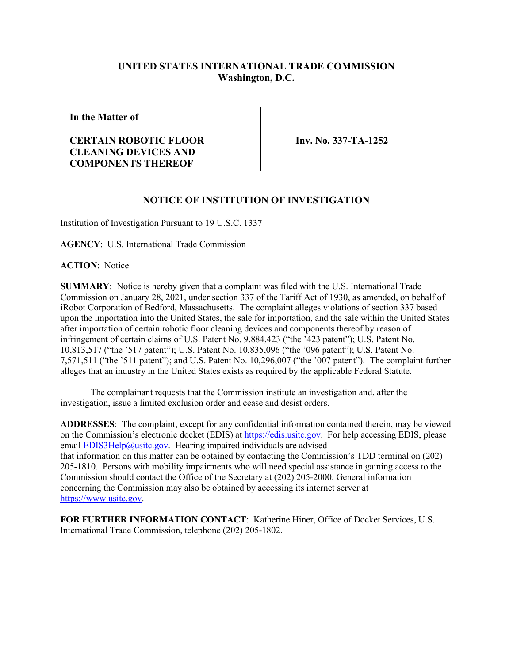## **UNITED STATES INTERNATIONAL TRADE COMMISSION Washington, D.C.**

**In the Matter of**

## **CERTAIN ROBOTIC FLOOR CLEANING DEVICES AND COMPONENTS THEREOF**

**Inv. No. 337-TA-1252**

## **NOTICE OF INSTITUTION OF INVESTIGATION**

Institution of Investigation Pursuant to 19 U.S.C. 1337

**AGENCY**: U.S. International Trade Commission

**ACTION**: Notice

**SUMMARY**: Notice is hereby given that a complaint was filed with the U.S. International Trade Commission on January 28, 2021, under section 337 of the Tariff Act of 1930, as amended, on behalf of iRobot Corporation of Bedford, Massachusetts. The complaint alleges violations of section 337 based upon the importation into the United States, the sale for importation, and the sale within the United States after importation of certain robotic floor cleaning devices and components thereof by reason of infringement of certain claims of U.S. Patent No. 9,884,423 ("the '423 patent"); U.S. Patent No. 10,813,517 ("the '517 patent"); U.S. Patent No. 10,835,096 ("the '096 patent"); U.S. Patent No. 7,571,511 ("the '511 patent"); and U.S. Patent No. 10,296,007 ("the '007 patent"). The complaint further alleges that an industry in the United States exists as required by the applicable Federal Statute.

The complainant requests that the Commission institute an investigation and, after the investigation, issue a limited exclusion order and cease and desist orders.

**ADDRESSES**: The complaint, except for any confidential information contained therein, may be viewed on the Commission's electronic docket (EDIS) a[t https://edis.usitc.gov.](https://edis.usitc.gov/) For help accessing EDIS, please email  $EDIS3Help@usitc.gov$ . Hearing impaired individuals are advised that information on this matter can be obtained by contacting the Commission's TDD terminal on (202) 205-1810. Persons with mobility impairments who will need special assistance in gaining access to the Commission should contact the Office of the Secretary at (202) 205-2000. General information concerning the Commission may also be obtained by accessing its internet server at [https://www.usitc.gov.](https://www.usitc.gov/)

**FOR FURTHER INFORMATION CONTACT**: Katherine Hiner, Office of Docket Services, U.S. International Trade Commission, telephone (202) 205-1802.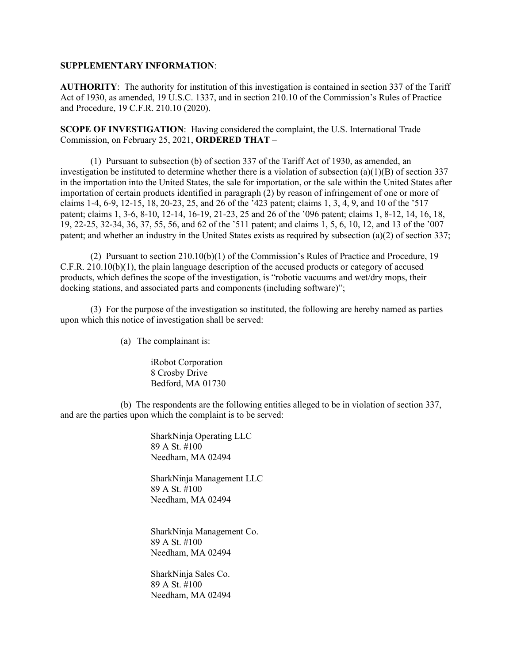## **SUPPLEMENTARY INFORMATION**:

**AUTHORITY**: The authority for institution of this investigation is contained in section 337 of the Tariff Act of 1930, as amended, 19 U.S.C. 1337, and in section 210.10 of the Commission's Rules of Practice and Procedure, 19 C.F.R. 210.10 (2020).

**SCOPE OF INVESTIGATION**: Having considered the complaint, the U.S. International Trade Commission, on February 25, 2021, **ORDERED THAT** –

(1) Pursuant to subsection (b) of section 337 of the Tariff Act of 1930, as amended, an investigation be instituted to determine whether there is a violation of subsection  $(a)(1)(B)$  of section 337 in the importation into the United States, the sale for importation, or the sale within the United States after importation of certain products identified in paragraph (2) by reason of infringement of one or more of claims 1-4, 6-9, 12-15, 18, 20-23, 25, and 26 of the '423 patent; claims 1, 3, 4, 9, and 10 of the '517 patent; claims 1, 3-6, 8-10, 12-14, 16-19, 21-23, 25 and 26 of the '096 patent; claims 1, 8-12, 14, 16, 18, 19, 22-25, 32-34, 36, 37, 55, 56, and 62 of the '511 patent; and claims 1, 5, 6, 10, 12, and 13 of the '007 patent; and whether an industry in the United States exists as required by subsection (a)(2) of section 337;

(2) Pursuant to section 210.10(b)(1) of the Commission's Rules of Practice and Procedure, 19 C.F.R. 210.10(b)(1), the plain language description of the accused products or category of accused products, which defines the scope of the investigation, is "robotic vacuums and wet/dry mops, their docking stations, and associated parts and components (including software)";

(3) For the purpose of the investigation so instituted, the following are hereby named as parties upon which this notice of investigation shall be served:

(a) The complainant is:

iRobot Corporation 8 Crosby Drive Bedford, MA 01730

(b) The respondents are the following entities alleged to be in violation of section 337, and are the parties upon which the complaint is to be served:

> SharkNinja Operating LLC 89 A St. #100 Needham, MA 02494

SharkNinja Management LLC 89 A St. #100 Needham, MA 02494

SharkNinja Management Co. 89 A St. #100 Needham, MA 02494

SharkNinja Sales Co. 89 A St. #100 Needham, MA 02494